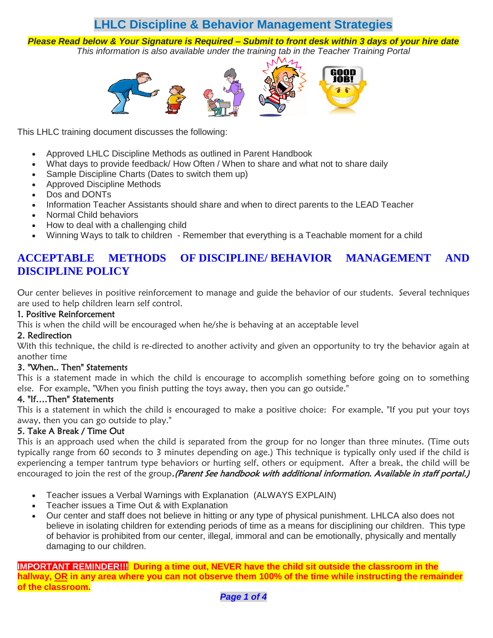# **LHLC Discipline & Behavior Management Strategies**

*Please Read below & Your Signature is Required – Submit to front desk within 3 days of your hire date This information is also available under the training tab in the Teacher Training Portal*



This LHLC training document discu[sses th](https://creativecommons.org/licenses/by-nc-nd/3.0/)e following:

- Approved LHLC [Discip](https://creativecommons.org/licenses/by-nc-nd/3.0/)line Methods as outlined in Parent Handbook
- What days to provide feedback/ How Often / When to share and what not to share daily
- Sample Discipline Charts (Dates to switch them up)
- Approved Discipline Methods
- Dos and DONTs
- Information Teacher Assistants should share and when to direct parents to the LEAD Teacher
- Normal Child behaviors
- How to deal with a challenging child
- Winning Ways to talk to children Remember that everything is a Teachable moment for a child

## **ACCEPTABLE METHODS OF DISCIPLINE/ BEHAVIOR MANAGEMENT AND DISCIPLINE POLICY**

Our center believes in positive reinforcement to manage and guide the behavior of our students. Several techniques are used to help children learn self control.

#### 1. Positive Reinforcement

This is when the child will be encouraged when he/she is behaving at an acceptable level

#### 2. Redirection

With this technique, the child is re-directed to another activity and given an opportunity to try the behavior again at another time

### 3. "When.. Then" Statements

This is a statement made in which the child is encourage to accomplish something before going on to something else. For example, "When you finish putting the toys away, then you can go outside."

### 4. "If….Then" Statements

This is a statement in which the child is encouraged to make a positive choice: For example, "If you put your toys away, then you can go outside to play."

### 5. Take A Break / Time Out

This is an approach used when the child is separated from the group for no longer than three minutes. (Time outs typically range from 60 seconds to 3 minutes depending on age.) This technique is typically only used if the child is experiencing a temper tantrum type behaviors or hurting self, others or equipment. After a break, the child will be encouraged to join the rest of the group. (Parent See handbook with additional information. Available in staff portal.)

- Teacher issues a Verbal Warnings with Explanation (ALWAYS EXPLAIN)
- Teacher issues a Time Out & with Explanation
- Our center and staff does not believe in hitting or any type of physical punishment. LHLCA also does not believe in isolating children for extending periods of time as a means for disciplining our children. This type of behavior is prohibited from our center, illegal, immoral and can be emotionally, physically and mentally damaging to our children.

**IMPORTANT REMINDER!!! During a time out, NEVER have the child sit outside the classroom in the hallway, OR in any area where you can not observe them 100% of the time while instructing the remainder of the classroom.**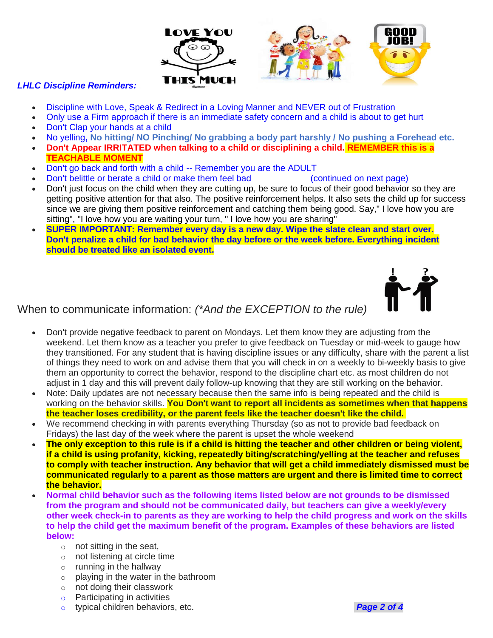

#### *LHLC Discipline Reminders:*

- Discipline with Love, Speak & Redirect in a Loving Manner and NEVER o[ut of](https://creativecommons.org/licenses/by-nc/3.0/) Frustration
- Only use a Firm approach if there is an immediate safe[ty con](https://creativecommons.org/licenses/by-nc/3.0/)cern and a child is about to get hurt
- Don't Clap your hands at a child
- No yelling**, No hitting/ NO Pinching/ No grabbing a body part harshly / No pushing a Forehead etc.**
- **Don't Appear IRRITATED when talking to a child or disciplining a child. REMEMBER this is a TEACHABLE MOMENT**
- Don't go back and forth with a child -- Remember you are the ADULT
- Don't belittle or berate a child or make them feel bad (continued on next page)
- Don't just focus on the child when they are cutting up, be sure to focus of their good behavior so they are getting positive attention for that also. The positive reinforcement helps. It also sets the child up for success since we are giving them positive reinforcement and catching them being good. Say," I love how you are sitting", "I love how you are waiting your turn, " I love how you are sharing"
- **SUPER IMPORTANT: Remember every day is a new day. Wipe the slate clean and start over. Don't penalize a child for bad behavior the day before or the week before. Everything incident should be treated like an isolated event.**



When to communicate information: *(\*And the EXCEPTION to the rule)*

- Don't provide negative feedback to parent on Mondays. Let them know they are adjusting from the weekend. Let them know as a teacher you prefer to give feedback on Tuesday or mid-week to gauge how they transitioned. For any student that is having discipline issues or any difficulty, share with the parent a list of things they need to work on and advise them that you will check in on a weekly to bi-weekly basis to give them an opportunity to correct the behavior, respond to the discipline chart etc. as most children do not adjust in 1 day and this will prevent daily follow-up knowing that they are still working on the behavior.
- Note: Daily updates are not necessary because then the same info is being repeated and the child is working on the behavior skills. **You Don't want to report all incidents as sometimes when that happens the teacher loses credibility, or the parent feels like the teacher doesn't like the child.**
- We recommend checking in with parents everything Thursday (so as not to provide bad feedback on Fridays) the last day of the week where the parent is upset the whole weekend
- **The only exception to this rule is if a child is hitting the teacher and other children or being violent, if a child is using profanity, kicking, repeatedly biting/scratching/yelling at the teacher and refuses to comply with teacher instruction. Any behavior that will get a child immediately dismissed must be communicated regularly to a parent as those matters are urgent and there is limited time to correct the behavior.**
- **Normal child behavior such as the following items listed below are not grounds to be dismissed from the program and should not be communicated daily, but teachers can give a weekly/every other week check-in to parents as they are working to help the child progress and work on the skills to help the child get the maximum benefit of the program. Examples of these behaviors are listed below:**
	- $\circ$  not sitting in the seat.
	- o not listening at circle time
	- $\circ$  running in the hallway
	- $\circ$  playing in the water in the bathroom
	- o not doing their classwork
	- o Participating in activities
	- o typical children behaviors, etc. *Page 2 of 4*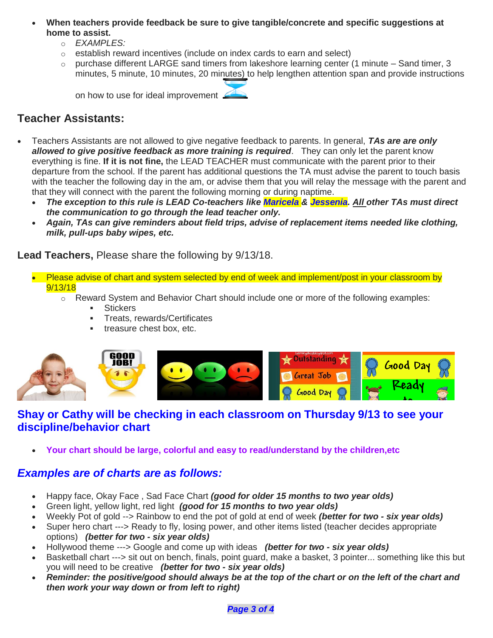- **When teachers provide feedback be sure to give tangible/concrete and specific suggestions at home to assist.**
	- o *EXAMPLES:*
	- o establish reward incentives (include on index cards to earn and select)
	- $\circ$  purchase different LARGE sand timers from lakeshore learning center (1 minute Sand timer, 3 minutes, 5 minute, 10 minutes, 20 minutes) to help lengthen attention span and provide instructions

on how to use for ideal improvement

# **Teacher Assistants:**

- Teachers Assistants are not allowed to give negative feedback to parents. In general, *TAs are are only allowed to give positive feedback as more training is required*. They can only let the parent know everything is fine. **If it is not fine,** the LEAD TEACHER must communicate with the parent prior to their departure from the school. If the parent has additional questions the TA must advise the parent to touch basis with the teacher the following day in the am, or advise them that you will relay the message with the parent and that they will connect with the parent the following morning or during naptime.
	- *The exception to this rule is LEAD Co-teachers like Maricela & Jessenia. All other TAs must direct the communication to go through the lead teacher only.*
	- *Again, TAs can give reminders about field trips, advise of replacement items needed like clothing, milk, pull-ups baby wipes, etc.*

**Lead Teachers,** Please share the following by 9/13/18.

- Please advise of chart and system selected by end of week and implement/post in your classroom by 9/13/18
	- o Reward System and Behavior Chart should include one or more of the following examples:
		- **■** Stickers
		- **EXEC** Treats, rewards/Certificates
		- treasure chest box, etc.



## **Shay or Cathy will be checking in each classroom on Thursday 9/13 to see your discipline/behavior chart**

• **Your chart should be large, colorful and easy to read/understand by the children,etc**

## *Examples are of charts are as follows:*

- Happy face, Okay Face , Sad Face Chart *(good for older 15 months to two year olds)*
- Green light, yellow light, red light *(good for 15 months to two year olds)*
- Weekly Pot of gold --> Rainbow to end the pot of gold at end of week *(better for two - six year olds)*
- Super hero chart ---> Ready to fly, losing power, and other items listed (teacher decides appropriate options) *(better for two - six year olds)*
- Hollywood theme ---> Google and come up with ideas *(better for two - six year olds)*
- Basketball chart ---> sit out on bench, finals, point guard, make a basket, 3 pointer... something like this but you will need to be creative *(better for two - six year olds)*
- *Reminder: the positive/good should always be at the top of the chart or on the left of the chart and then work your way down or from left to right)*